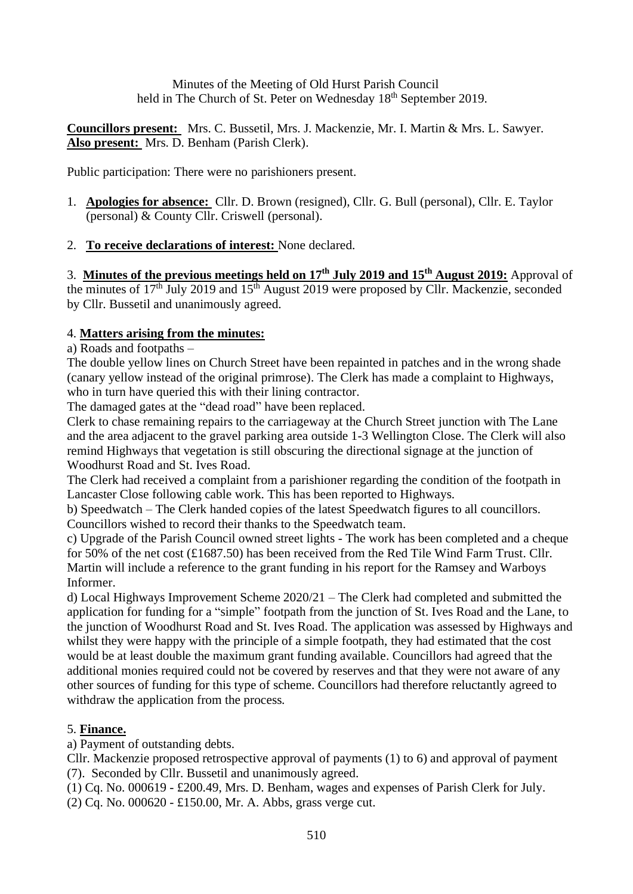Minutes of the Meeting of Old Hurst Parish Council held in The Church of St. Peter on Wednesday 18<sup>th</sup> September 2019.

**Councillors present:** Mrs. C. Bussetil, Mrs. J. Mackenzie, Mr. I. Martin & Mrs. L. Sawyer. **Also present:** Mrs. D. Benham (Parish Clerk).

Public participation: There were no parishioners present.

- 1. **Apologies for absence:** Cllr. D. Brown (resigned), Cllr. G. Bull (personal), Cllr. E. Taylor (personal) & County Cllr. Criswell (personal).
- 2. **To receive declarations of interest:** None declared.

3. **Minutes of the previous meetings held on 17th July 2019 and 15th August 2019:** Approval of the minutes of  $17<sup>th</sup>$  July 2019 and  $15<sup>th</sup>$  August 2019 were proposed by Cllr. Mackenzie, seconded by Cllr. Bussetil and unanimously agreed.

### 4. **Matters arising from the minutes:**

a) Roads and footpaths –

The double yellow lines on Church Street have been repainted in patches and in the wrong shade (canary yellow instead of the original primrose). The Clerk has made a complaint to Highways, who in turn have queried this with their lining contractor.

The damaged gates at the "dead road" have been replaced.

Clerk to chase remaining repairs to the carriageway at the Church Street junction with The Lane and the area adjacent to the gravel parking area outside 1-3 Wellington Close. The Clerk will also remind Highways that vegetation is still obscuring the directional signage at the junction of Woodhurst Road and St. Ives Road.

The Clerk had received a complaint from a parishioner regarding the condition of the footpath in Lancaster Close following cable work. This has been reported to Highways.

b) Speedwatch – The Clerk handed copies of the latest Speedwatch figures to all councillors. Councillors wished to record their thanks to the Speedwatch team.

c) Upgrade of the Parish Council owned street lights - The work has been completed and a cheque for 50% of the net cost (£1687.50) has been received from the Red Tile Wind Farm Trust. Cllr. Martin will include a reference to the grant funding in his report for the Ramsey and Warboys Informer.

d) Local Highways Improvement Scheme 2020/21 – The Clerk had completed and submitted the application for funding for a "simple" footpath from the junction of St. Ives Road and the Lane, to the junction of Woodhurst Road and St. Ives Road. The application was assessed by Highways and whilst they were happy with the principle of a simple footpath, they had estimated that the cost would be at least double the maximum grant funding available. Councillors had agreed that the additional monies required could not be covered by reserves and that they were not aware of any other sources of funding for this type of scheme. Councillors had therefore reluctantly agreed to withdraw the application from the process.

# 5. **Finance.**

a) Payment of outstanding debts.

Cllr. Mackenzie proposed retrospective approval of payments (1) to 6) and approval of payment (7). Seconded by Cllr. Bussetil and unanimously agreed.

(1) Cq. No. 000619 - £200.49, Mrs. D. Benham, wages and expenses of Parish Clerk for July.

(2) Cq. No. 000620 - £150.00, Mr. A. Abbs, grass verge cut.